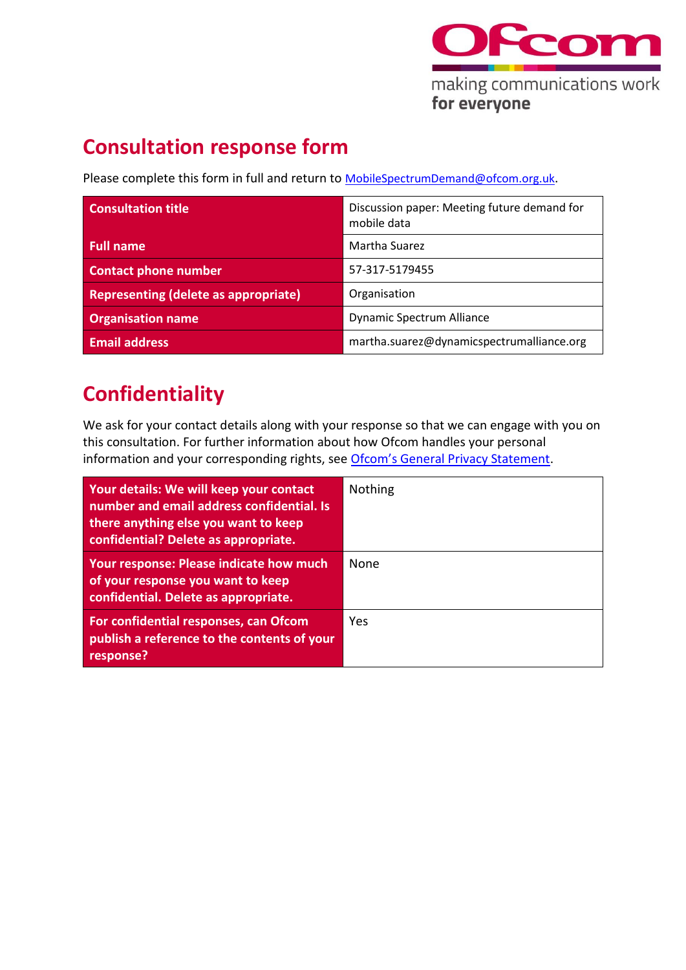

## **Consultation response form**

Please complete this form in full and return to **MobileSpectrumDemand@ofcom.org.uk.** 

| <b>Consultation title</b>                   | Discussion paper: Meeting future demand for<br>mobile data |
|---------------------------------------------|------------------------------------------------------------|
| <b>Full name</b>                            | Martha Suarez                                              |
| <b>Contact phone number</b>                 | 57-317-5179455                                             |
| <b>Representing (delete as appropriate)</b> | Organisation                                               |
| <b>Organisation name</b>                    | <b>Dynamic Spectrum Alliance</b>                           |
| <b>Email address</b>                        | martha.suarez@dynamicspectrumalliance.org                  |

## **Confidentiality**

We ask for your contact details along with your response so that we can engage with you on this consultation. For further information about how Ofcom handles your personal information and your corresponding rights, see [Ofcom's General Privacy Statement](http://www.ofcom.org.uk/about-ofcom/foi-dp/general-privacy-statement).

| Your details: We will keep your contact<br>number and email address confidential. Is<br>there anything else you want to keep<br>confidential? Delete as appropriate. | <b>Nothing</b> |
|----------------------------------------------------------------------------------------------------------------------------------------------------------------------|----------------|
| Your response: Please indicate how much<br>of your response you want to keep<br>confidential. Delete as appropriate.                                                 | <b>None</b>    |
| For confidential responses, can Ofcom<br>publish a reference to the contents of your<br>response?                                                                    | <b>Yes</b>     |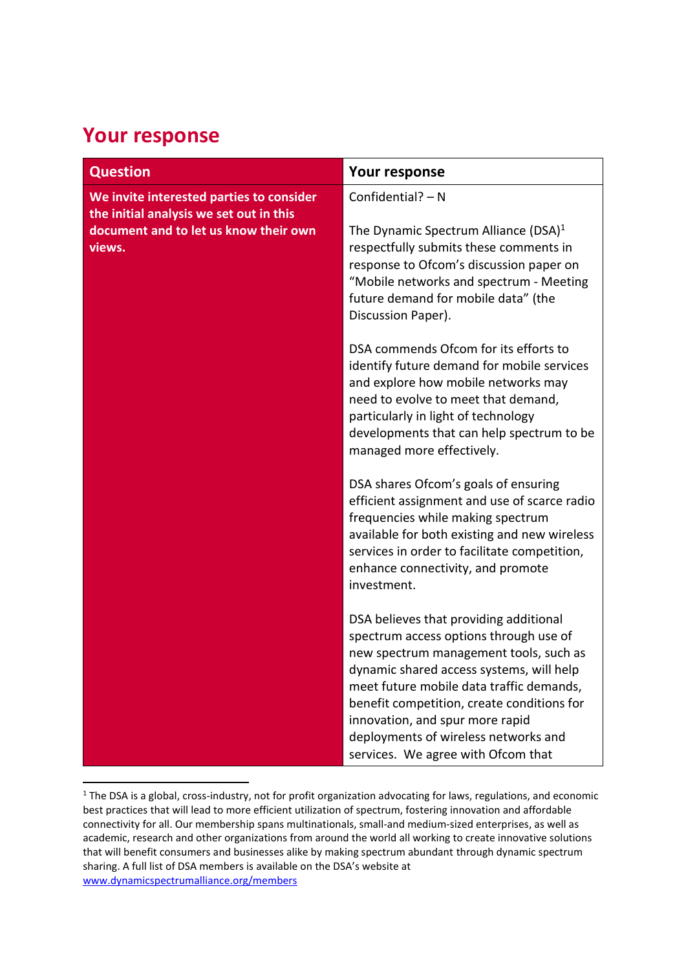## **Your response**

| <b>Question</b>                                                                     | Your response                                                                                                                                                                                                                                                                                                                                                                     |
|-------------------------------------------------------------------------------------|-----------------------------------------------------------------------------------------------------------------------------------------------------------------------------------------------------------------------------------------------------------------------------------------------------------------------------------------------------------------------------------|
| We invite interested parties to consider<br>the initial analysis we set out in this | Confidential? $- N$                                                                                                                                                                                                                                                                                                                                                               |
| document and to let us know their own<br>views.                                     | The Dynamic Spectrum Alliance (DSA) $1$<br>respectfully submits these comments in<br>response to Ofcom's discussion paper on<br>"Mobile networks and spectrum - Meeting<br>future demand for mobile data" (the<br>Discussion Paper).                                                                                                                                              |
|                                                                                     | DSA commends Ofcom for its efforts to<br>identify future demand for mobile services<br>and explore how mobile networks may<br>need to evolve to meet that demand,<br>particularly in light of technology<br>developments that can help spectrum to be<br>managed more effectively.                                                                                                |
|                                                                                     | DSA shares Ofcom's goals of ensuring<br>efficient assignment and use of scarce radio<br>frequencies while making spectrum<br>available for both existing and new wireless<br>services in order to facilitate competition,<br>enhance connectivity, and promote<br>investment.                                                                                                     |
|                                                                                     | DSA believes that providing additional<br>spectrum access options through use of<br>new spectrum management tools, such as<br>dynamic shared access systems, will help<br>meet future mobile data traffic demands,<br>benefit competition, create conditions for<br>innovation, and spur more rapid<br>deployments of wireless networks and<br>services. We agree with Ofcom that |

<sup>&</sup>lt;sup>1</sup> The DSA is a global, cross-industry, not for profit organization advocating for laws, regulations, and economic best practices that will lead to more efficient utilization of spectrum, fostering innovation and affordable connectivity for all. Our membership spans multinationals, small-and medium-sized enterprises, as well as academic, research and other organizations from around the world all working to create innovative solutions that will benefit consumers and businesses alike by making spectrum abundant through dynamic spectrum sharing. A full list of DSA members is available on the DSA's website at [www.dynamicspectrumalliance.org/members](http://www.dynamicspectrumalliance.org/members)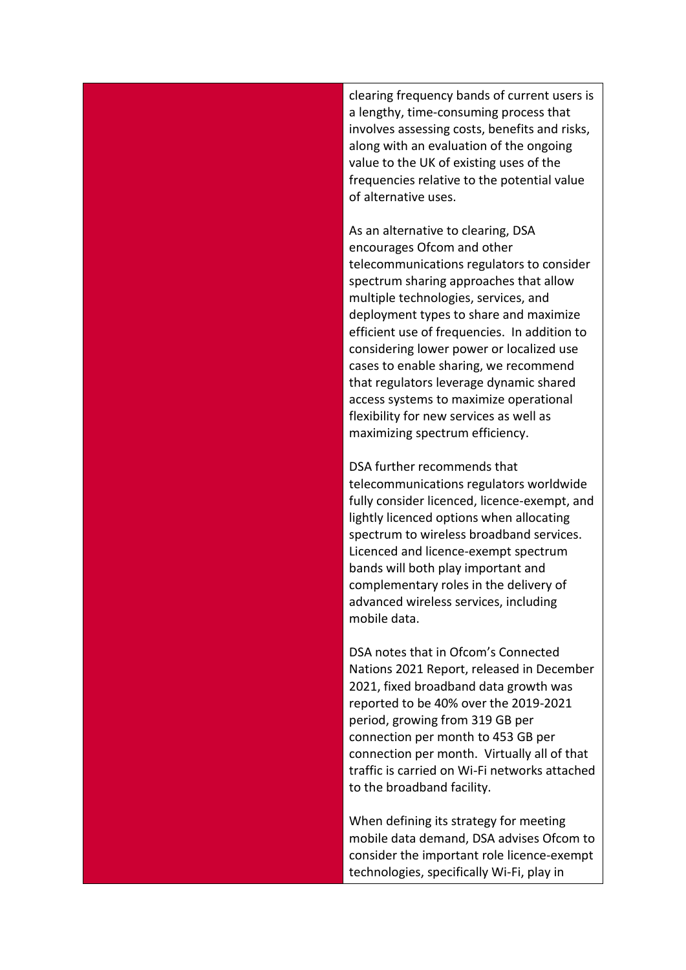clearing frequency bands of current users is a lengthy, time-consuming process that involves assessing costs, benefits and risks, along with an evaluation of the ongoing value to the UK of existing uses of the frequencies relative to the potential value of alternative uses.

As an alternative to clearing, DSA encourages Ofcom and other telecommunications regulators to consider spectrum sharing approaches that allow multiple technologies, services, and deployment types to share and maximize efficient use of frequencies. In addition to considering lower power or localized use cases to enable sharing, we recommend that regulators leverage dynamic shared access systems to maximize operational flexibility for new services as well as maximizing spectrum efficiency.

DSA further recommends that telecommunications regulators worldwide fully consider licenced, licence-exempt, and lightly licenced options when allocating spectrum to wireless broadband services. Licenced and licence-exempt spectrum bands will both play important and complementary roles in the delivery of advanced wireless services, including mobile data.

DSA notes that in Ofcom's Connected Nations 2021 Report, released in December 2021, fixed broadband data growth was reported to be 40% over the 2019-2021 period, growing from 319 GB per connection per month to 453 GB per connection per month. Virtually all of that traffic is carried on Wi-Fi networks attached to the broadband facility.

When defining its strategy for meeting mobile data demand, DSA advises Ofcom to consider the important role licence-exempt technologies, specifically Wi-Fi, play in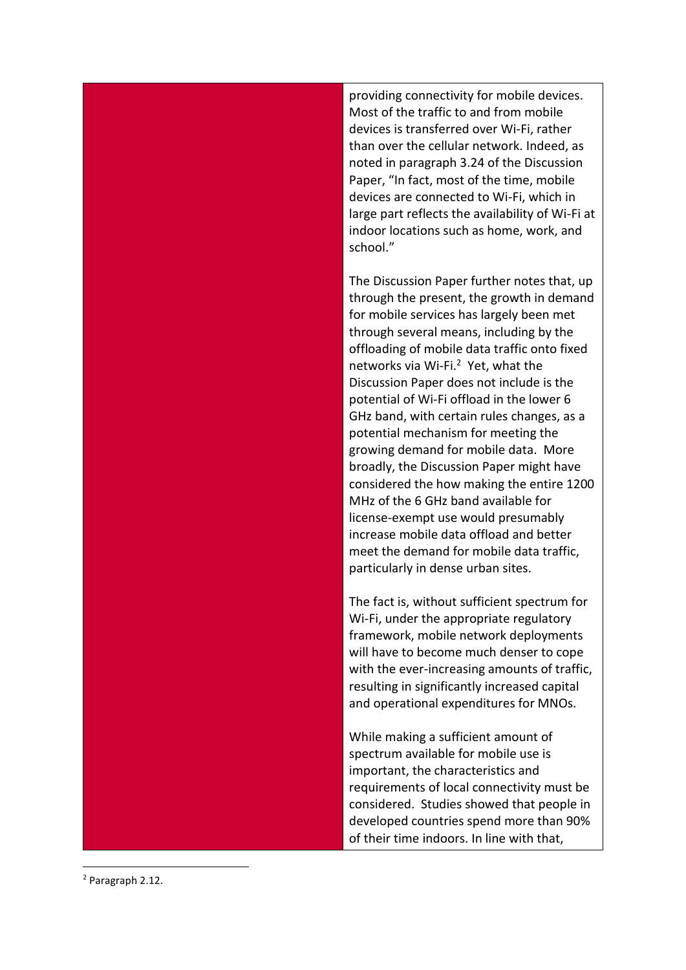providing connectivity for mobile devices. Most of the traffic to and from mobile devices is transferred over Wi -Fi, rather than over the cellular network. Indeed, as noted in paragraph 3.24 of the Discussion Pape r, "In fact, most of the time, mobile devices are connected to Wi -Fi, which in large part reflects the availability of Wi -Fi at indoor locations such as home, work, and school."

The Discussion Paper further notes that , up through the present , the growth in demand for mobile services has largely been met through several means, including by the offloading of mobile data traffic onto fixed networks via Wi-Fi.<sup>2</sup> Yet, what the Discussion Paper does not include is the potential of Wi -Fi offload in the lower 6 GHz band, with certain rules changes, as a potential mechanism for meeting the growing demand for mobile data. More broadly, the Discussion Paper might have considered the how making the entire 1200 MHz of the 6 GHz band available for license -exempt use would presumably increase mobile data offload and better meet the demand for mobile data traffic, particularly in dense urban sites.

The fact is, without sufficient spectrum for Wi -Fi, under the appropriate regulatory framework, mobile network deployments will have to become much denser to cope with the ever -increasing amounts of traffic, resulting in significantly increased capital and operational expenditures for MNOs.

While making a sufficient amount of spectrum available for mobile use is important, the characteristics and requirements of local connectivity must be considered. Studies showed that people in developed countries spend more than 90% of their time indoors. In line with that,

<sup>2</sup> Paragraph 2.12.